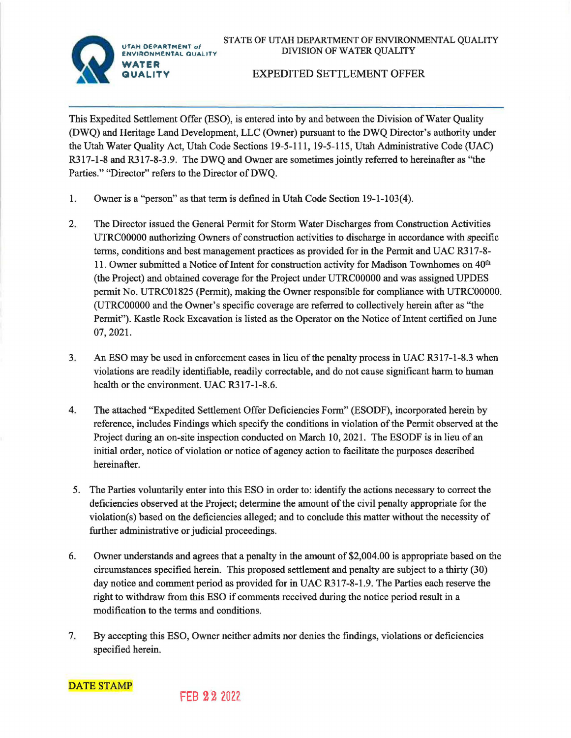STATE OF UTAH DEPARTMENT OF ENVIRONMENTAL QUALITY DIVISION OF WATER QUALITY



## EXPEDITED SETTLEMENT OFFER

This Expedited Settlement Offer (ESO), is entered into by and between the Division of Water Quality (DWQ) and Heritage Land Development, LLC (Owner) pursuant to the DWQ Director's authority under the Utah Water Quality Act, Utah Code Sections 19-5-111, 19-5-115, Utah Administrative Code (UAC) R317-1-8 and R317-8-3.9. The DWO and Owner are sometimes jointly referred to hereinafter as "the Parties." "Director" refers to the Director of DWQ.

- 1. Owner is a "person" as that term is defined in Utah Code Section 19-1-103(4).
- 2. The Director issued the General Permit for Storm Water Discharges from Construction Activities UTRC00000 authorizing Owners of construction activities to discharge in accordance with specific terms, conditions and best management practices as provided for in the Permit and UAC R317-8-11. Owner submitted a Notice of Intent for construction activity for Madison Townhomes on  $40<sup>th</sup>$ (the Project) and obtained coverage for the Project under UTRC00000 and was assigned UPDES permit No. UTRC01825 (Permit), making the Owner responsible for compliance with UTRCO0000. (UTRC00000 and the Owner's specific coverage are referred to collectively herein after as "the Permit"). Kastle Rock Excavation is listed as the Operator on the Notice of Intent certified on June 07, 2021.
- 3. An ESO may be used in enforcement cases in lieu of the penalty process in UAC R317-1-8.3 when violations are readily identifiable, readily correctable, and do not cause significant harm to human health or the environment. UAC R317-1-8.6.
- 4. The attached "Expedited Settlement Offer Deficiencies Form" (ESODF), incorporated herein by reference, includes Findings which specify the conditions in violation of the Permit observed at the Project during an on-site inspection conducted on March 10, 2021. The ESODF is in lieu of an initial order, notice of violation or notice of agency action to facilitate the purposes described hereinafter.
- 5. The Parties voluntarily enter into this ESO in order to: identify the actions necessary to correct the deficiencies observed at the Project; determine the amount of the civil penalty appropriate for the violation(s) based on the deficiencies alleged; and to conclude this matter without the necessity of further administrative or judicial proceedings.
- 6. Owner understands and agrees that a penalty in the amount of \$2,004.00 is appropriate based on the circumstances specified herein. This proposed settlement and penalty are subject to a thirty (30) day notice and comment period as provided for in UAC R317-8-1.9. The Parties each reserve the right to withdraw from this ESO if comments received during the notice period result in a modification to the terms and conditions.
- 7. By accepting this ESO, Owner neither admits nor denies the findings, violations or deficiencies specified herein.